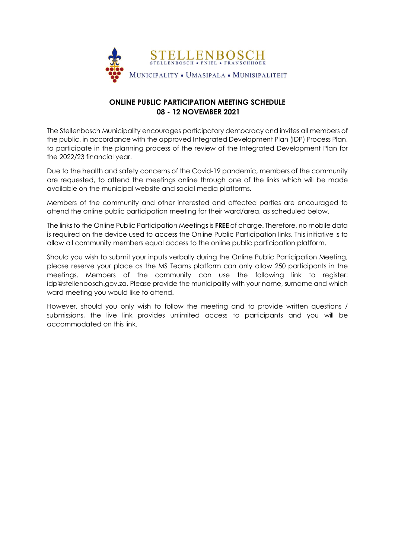

## **ONLINE PUBLIC PARTICIPATION MEETING SCHEDULE 08 - 12 NOVEMBER 2021**

The Stellenbosch Municipality encourages participatory democracy and invites all members of the public, in accordance with the approved Integrated Development Plan (IDP) Process Plan, to participate in the planning process of the review of the Integrated Development Plan for the 2022/23 financial year.

Due to the health and safety concerns of the Covid-19 pandemic, members of the community are requested, to attend the meetings online through one of the links which will be made available on the municipal website and social media platforms.

Members of the community and other interested and affected parties are encouraged to attend the online public participation meeting for their ward/area, as scheduled below.

The links to the Online Public Participation Meetings is **FREE** of charge. Therefore, no mobile data is required on the device used to access the Online Public Participation links. This initiative is to allow all community members equal access to the online public participation platform.

Should you wish to submit your inputs verbally during the Online Public Participation Meeting, please reserve your place as the MS Teams platform can only allow 250 participants in the meetings. Members of the community can use the following link to register: idp@stellenbosch.gov.za. Please provide the municipality with your name, surname and which ward meeting you would like to attend.

However, should you only wish to follow the meeting and to provide written questions / submissions, the live link provides unlimited access to participants and you will be accommodated on this link.